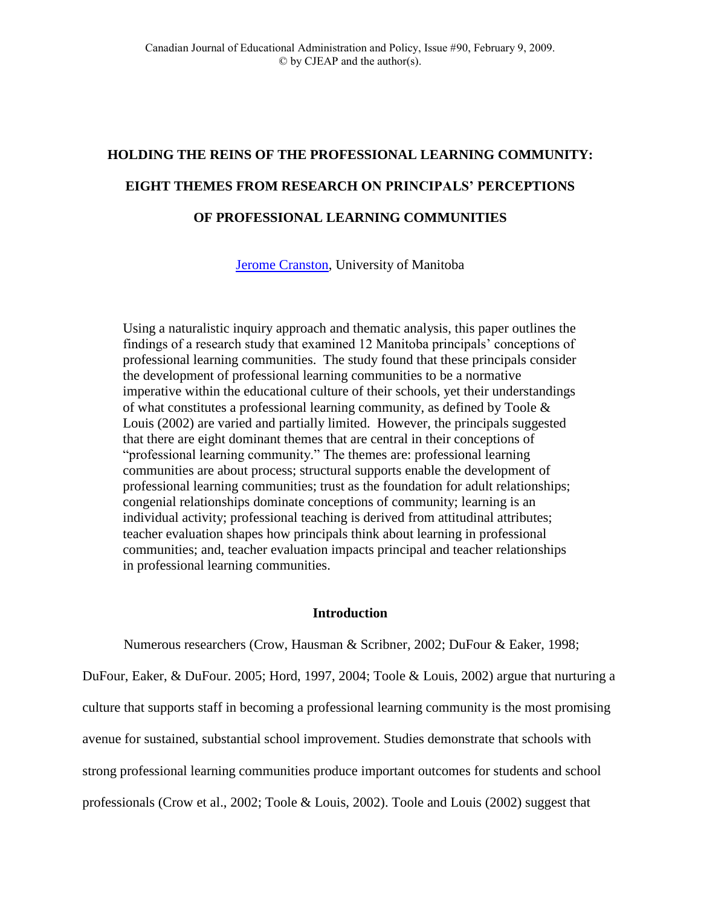# **HOLDING THE REINS OF THE PROFESSIONAL LEARNING COMMUNITY: EIGHT THEMES FROM RESEARCH ON PRINCIPALS' PERCEPTIONS OF PROFESSIONAL LEARNING COMMUNITIES**

[Jerome Cranston,](mailto:cranstoj@cc.umanitoba.ca) University of Manitoba

Using a naturalistic inquiry approach and thematic analysis, this paper outlines the findings of a research study that examined 12 Manitoba principals' conceptions of professional learning communities. The study found that these principals consider the development of professional learning communities to be a normative imperative within the educational culture of their schools, yet their understandings of what constitutes a professional learning community, as defined by Toole & Louis (2002) are varied and partially limited. However, the principals suggested that there are eight dominant themes that are central in their conceptions of "professional learning community." The themes are: professional learning communities are about process; structural supports enable the development of professional learning communities; trust as the foundation for adult relationships; congenial relationships dominate conceptions of community; learning is an individual activity; professional teaching is derived from attitudinal attributes; teacher evaluation shapes how principals think about learning in professional communities; and, teacher evaluation impacts principal and teacher relationships in professional learning communities.

# **Introduction**

Numerous researchers (Crow, Hausman & Scribner, 2002; DuFour & Eaker, 1998;

DuFour, Eaker, & DuFour. 2005; Hord, 1997, 2004; Toole & Louis, 2002) argue that nurturing a culture that supports staff in becoming a professional learning community is the most promising avenue for sustained, substantial school improvement. Studies demonstrate that schools with strong professional learning communities produce important outcomes for students and school professionals (Crow et al., 2002; Toole & Louis, 2002). Toole and Louis (2002) suggest that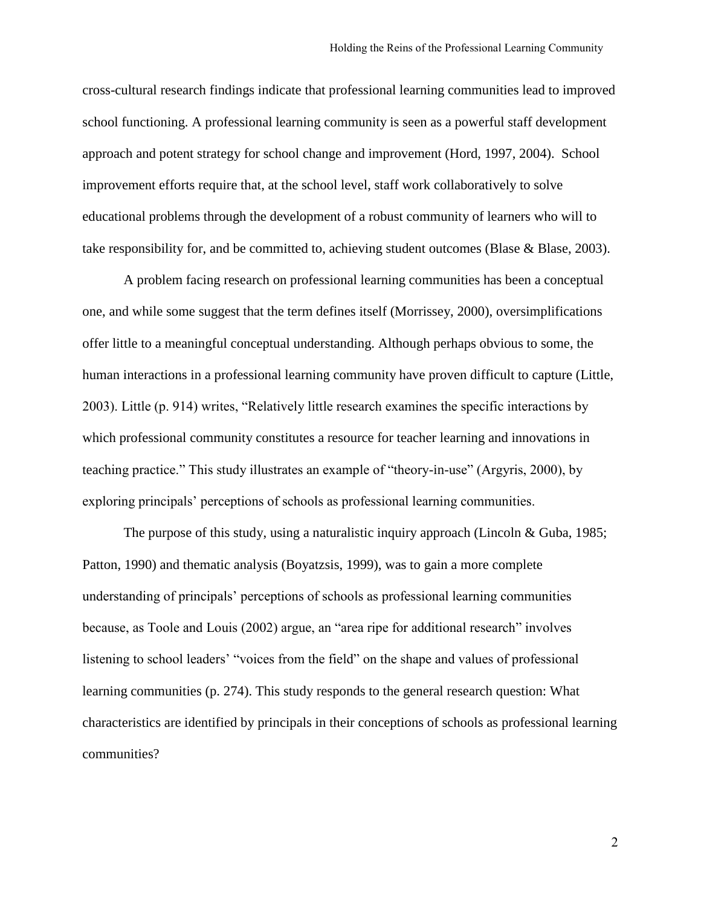cross-cultural research findings indicate that professional learning communities lead to improved school functioning. A professional learning community is seen as a powerful staff development approach and potent strategy for school change and improvement (Hord, 1997, 2004). School improvement efforts require that, at the school level, staff work collaboratively to solve educational problems through the development of a robust community of learners who will to take responsibility for, and be committed to, achieving student outcomes (Blase & Blase, 2003).

A problem facing research on professional learning communities has been a conceptual one, and while some suggest that the term defines itself (Morrissey, 2000), oversimplifications offer little to a meaningful conceptual understanding. Although perhaps obvious to some, the human interactions in a professional learning community have proven difficult to capture (Little, 2003). Little (p. 914) writes, "Relatively little research examines the specific interactions by which professional community constitutes a resource for teacher learning and innovations in teaching practice." This study illustrates an example of "theory-in-use" (Argyris, 2000), by exploring principals' perceptions of schools as professional learning communities.

The purpose of this study, using a naturalistic inquiry approach (Lincoln & Guba, 1985; Patton, 1990) and thematic analysis (Boyatzsis, 1999), was to gain a more complete understanding of principals' perceptions of schools as professional learning communities because, as Toole and Louis (2002) argue, an "area ripe for additional research" involves listening to school leaders' "voices from the field" on the shape and values of professional learning communities (p. 274). This study responds to the general research question: What characteristics are identified by principals in their conceptions of schools as professional learning communities?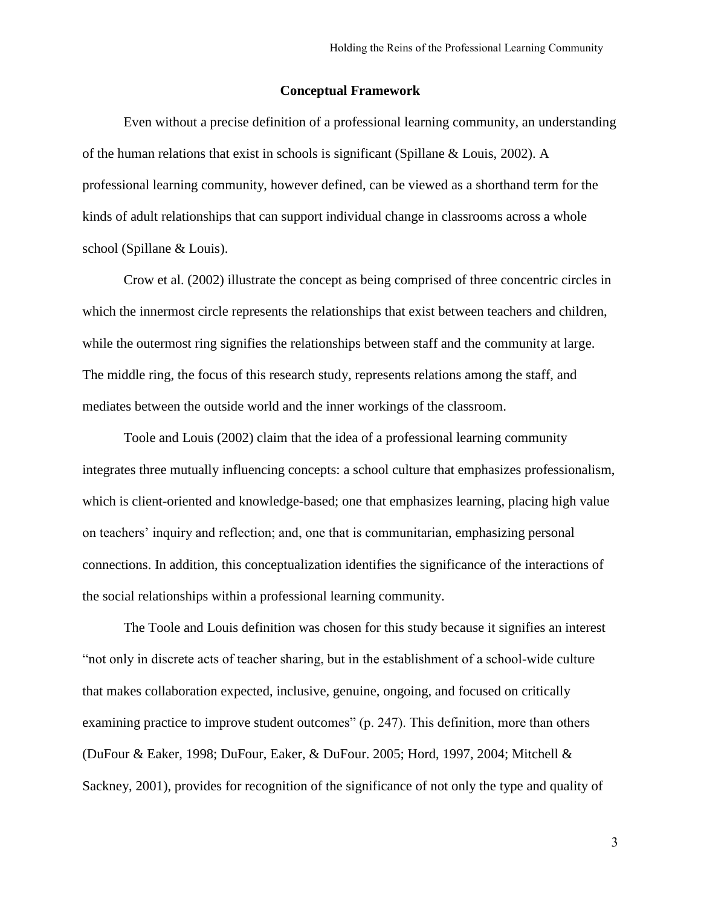#### **Conceptual Framework**

Even without a precise definition of a professional learning community, an understanding of the human relations that exist in schools is significant (Spillane & Louis, 2002). A professional learning community, however defined, can be viewed as a shorthand term for the kinds of adult relationships that can support individual change in classrooms across a whole school (Spillane & Louis).

Crow et al. (2002) illustrate the concept as being comprised of three concentric circles in which the innermost circle represents the relationships that exist between teachers and children, while the outermost ring signifies the relationships between staff and the community at large. The middle ring, the focus of this research study, represents relations among the staff, and mediates between the outside world and the inner workings of the classroom.

Toole and Louis (2002) claim that the idea of a professional learning community integrates three mutually influencing concepts: a school culture that emphasizes professionalism, which is client-oriented and knowledge-based; one that emphasizes learning, placing high value on teachers' inquiry and reflection; and, one that is communitarian, emphasizing personal connections. In addition, this conceptualization identifies the significance of the interactions of the social relationships within a professional learning community.

The Toole and Louis definition was chosen for this study because it signifies an interest "not only in discrete acts of teacher sharing, but in the establishment of a school-wide culture that makes collaboration expected, inclusive, genuine, ongoing, and focused on critically examining practice to improve student outcomes" (p. 247). This definition, more than others (DuFour & Eaker, 1998; DuFour, Eaker, & DuFour. 2005; Hord, 1997, 2004; Mitchell & Sackney, 2001), provides for recognition of the significance of not only the type and quality of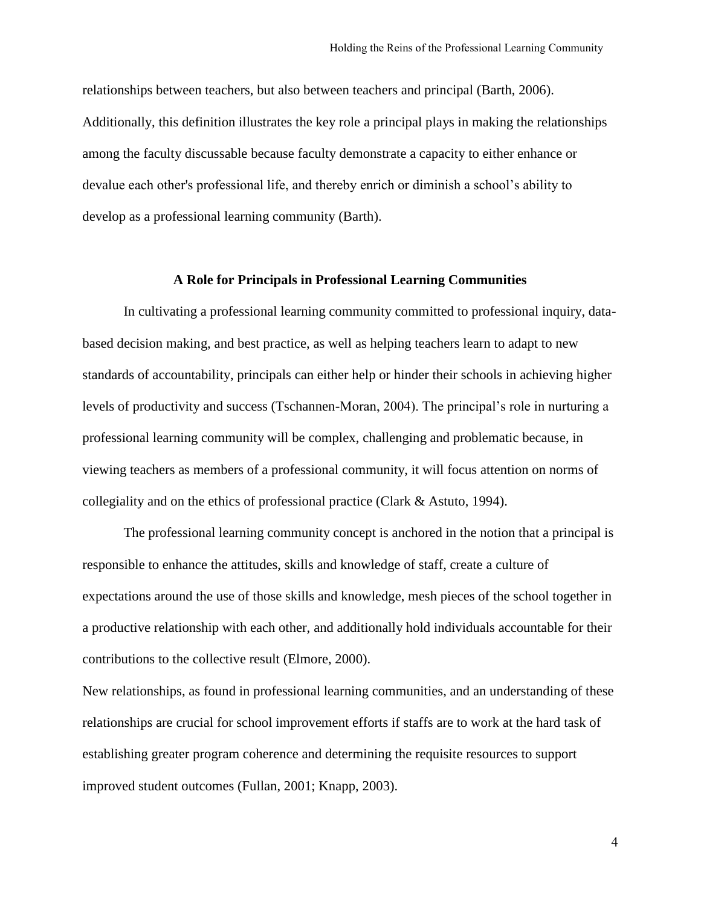relationships between teachers, but also between teachers and principal (Barth, 2006). Additionally, this definition illustrates the key role a principal plays in making the relationships among the faculty discussable because faculty demonstrate a capacity to either enhance or devalue each other's professional life, and thereby enrich or diminish a school's ability to develop as a professional learning community (Barth).

#### **A Role for Principals in Professional Learning Communities**

In cultivating a professional learning community committed to professional inquiry, databased decision making, and best practice, as well as helping teachers learn to adapt to new standards of accountability, principals can either help or hinder their schools in achieving higher levels of productivity and success (Tschannen-Moran, 2004). The principal's role in nurturing a professional learning community will be complex, challenging and problematic because, in viewing teachers as members of a professional community, it will focus attention on norms of collegiality and on the ethics of professional practice (Clark & Astuto, 1994).

The professional learning community concept is anchored in the notion that a principal is responsible to enhance the attitudes, skills and knowledge of staff, create a culture of expectations around the use of those skills and knowledge, mesh pieces of the school together in a productive relationship with each other, and additionally hold individuals accountable for their contributions to the collective result (Elmore, 2000).

New relationships, as found in professional learning communities, and an understanding of these relationships are crucial for school improvement efforts if staffs are to work at the hard task of establishing greater program coherence and determining the requisite resources to support improved student outcomes (Fullan, 2001; Knapp, 2003).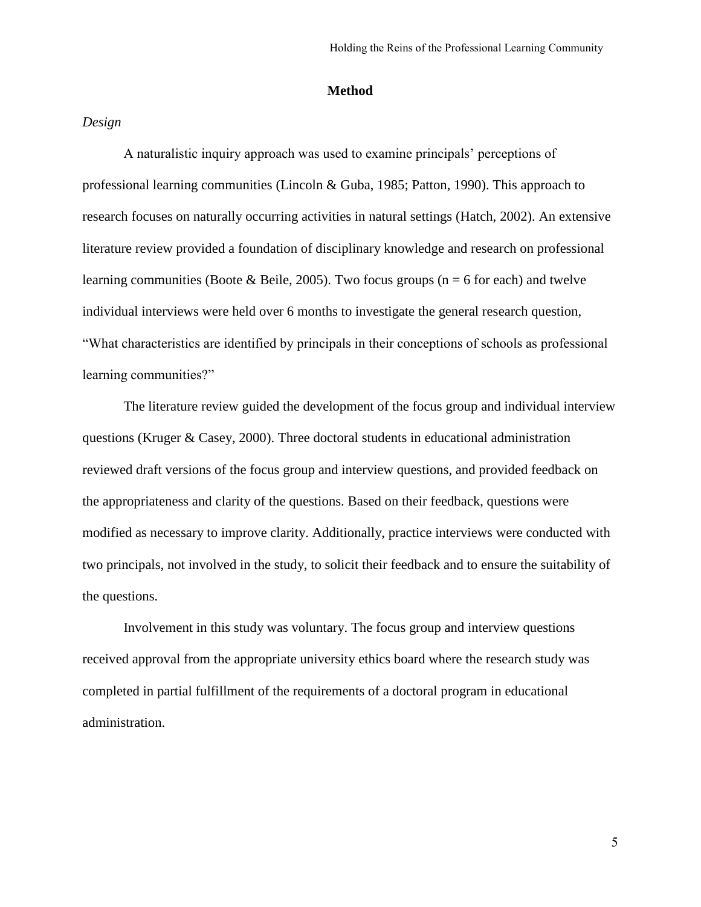#### **Method**

# *Design*

A naturalistic inquiry approach was used to examine principals' perceptions of professional learning communities (Lincoln & Guba, 1985; Patton, 1990). This approach to research focuses on naturally occurring activities in natural settings (Hatch, 2002). An extensive literature review provided a foundation of disciplinary knowledge and research on professional learning communities (Boote & Beile, 2005). Two focus groups ( $n = 6$  for each) and twelve individual interviews were held over 6 months to investigate the general research question, "What characteristics are identified by principals in their conceptions of schools as professional learning communities?"

The literature review guided the development of the focus group and individual interview questions (Kruger & Casey, 2000). Three doctoral students in educational administration reviewed draft versions of the focus group and interview questions, and provided feedback on the appropriateness and clarity of the questions. Based on their feedback, questions were modified as necessary to improve clarity. Additionally, practice interviews were conducted with two principals, not involved in the study, to solicit their feedback and to ensure the suitability of the questions.

Involvement in this study was voluntary. The focus group and interview questions received approval from the appropriate university ethics board where the research study was completed in partial fulfillment of the requirements of a doctoral program in educational administration.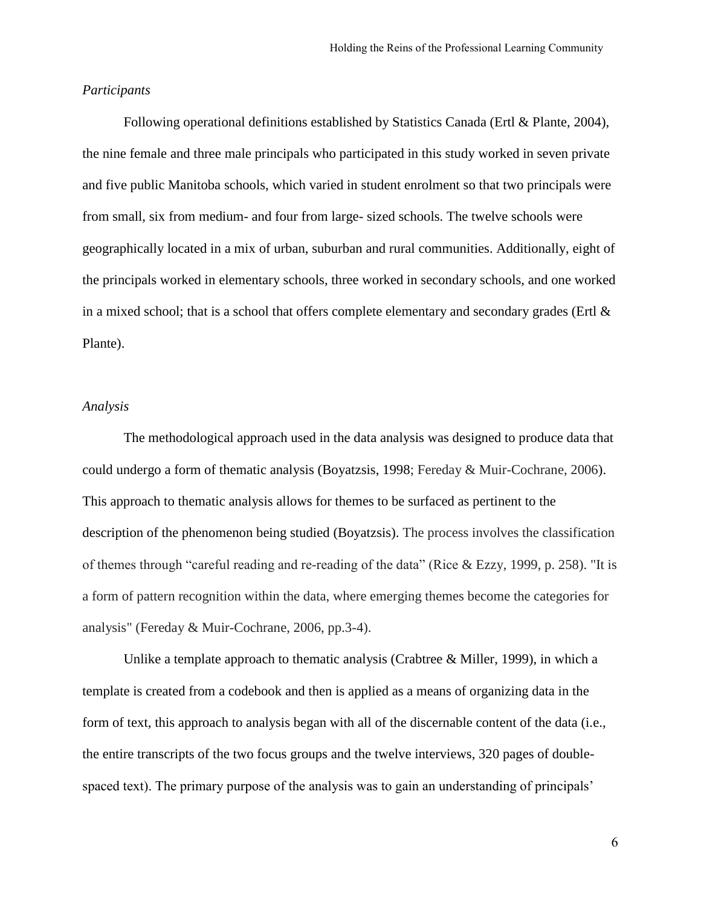#### *Participants*

Following operational definitions established by Statistics Canada (Ertl & Plante, 2004), the nine female and three male principals who participated in this study worked in seven private and five public Manitoba schools, which varied in student enrolment so that two principals were from small, six from medium- and four from large- sized schools. The twelve schools were geographically located in a mix of urban, suburban and rural communities. Additionally, eight of the principals worked in elementary schools, three worked in secondary schools, and one worked in a mixed school; that is a school that offers complete elementary and secondary grades (Ertl  $\&$ Plante).

# *Analysis*

The methodological approach used in the data analysis was designed to produce data that could undergo a form of thematic analysis (Boyatzsis, 1998; Fereday & Muir-Cochrane, 2006). This approach to thematic analysis allows for themes to be surfaced as pertinent to the description of the phenomenon being studied (Boyatzsis). The process involves the classification of themes through "careful reading and re-reading of the data" (Rice & Ezzy, 1999, p. 258). "It is a form of pattern recognition within the data, where emerging themes become the categories for analysis" (Fereday & Muir-Cochrane, 2006, pp.3-4).

Unlike a template approach to thematic analysis (Crabtree & Miller, 1999), in which a template is created from a codebook and then is applied as a means of organizing data in the form of text, this approach to analysis began with all of the discernable content of the data (i.e., the entire transcripts of the two focus groups and the twelve interviews, 320 pages of doublespaced text). The primary purpose of the analysis was to gain an understanding of principals'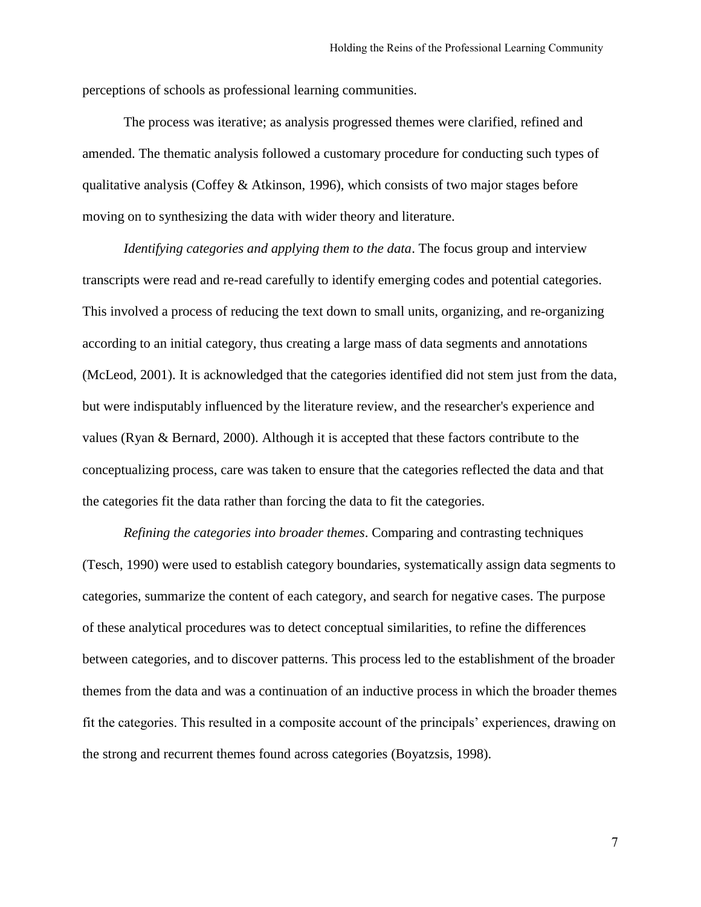perceptions of schools as professional learning communities.

The process was iterative; as analysis progressed themes were clarified, refined and amended. The thematic analysis followed a customary procedure for conducting such types of qualitative analysis (Coffey & Atkinson, 1996), which consists of two major stages before moving on to synthesizing the data with wider theory and literature.

*Identifying categories and applying them to the data*. The focus group and interview transcripts were read and re-read carefully to identify emerging codes and potential categories. This involved a process of reducing the text down to small units, organizing, and re-organizing according to an initial category, thus creating a large mass of data segments and annotations (McLeod, 2001). It is acknowledged that the categories identified did not stem just from the data, but were indisputably influenced by the literature review, and the researcher's experience and values (Ryan & Bernard, 2000). Although it is accepted that these factors contribute to the conceptualizing process, care was taken to ensure that the categories reflected the data and that the categories fit the data rather than forcing the data to fit the categories.

*Refining the categories into broader themes*. Comparing and contrasting techniques (Tesch, 1990) were used to establish category boundaries, systematically assign data segments to categories, summarize the content of each category, and search for negative cases. The purpose of these analytical procedures was to detect conceptual similarities, to refine the differences between categories, and to discover patterns. This process led to the establishment of the broader themes from the data and was a continuation of an inductive process in which the broader themes fit the categories. This resulted in a composite account of the principals' experiences, drawing on the strong and recurrent themes found across categories (Boyatzsis, 1998).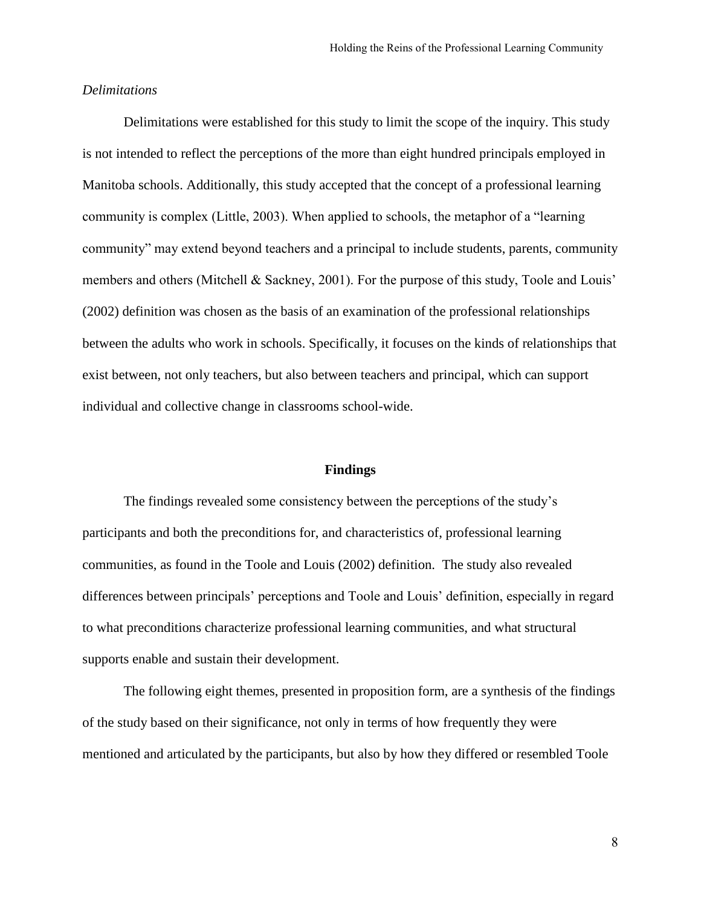#### *Delimitations*

Delimitations were established for this study to limit the scope of the inquiry. This study is not intended to reflect the perceptions of the more than eight hundred principals employed in Manitoba schools. Additionally, this study accepted that the concept of a professional learning community is complex (Little, 2003). When applied to schools, the metaphor of a "learning community" may extend beyond teachers and a principal to include students, parents, community members and others (Mitchell & Sackney, 2001). For the purpose of this study, Toole and Louis' (2002) definition was chosen as the basis of an examination of the professional relationships between the adults who work in schools. Specifically, it focuses on the kinds of relationships that exist between, not only teachers, but also between teachers and principal, which can support individual and collective change in classrooms school-wide.

#### **Findings**

The findings revealed some consistency between the perceptions of the study's participants and both the preconditions for, and characteristics of, professional learning communities, as found in the Toole and Louis (2002) definition. The study also revealed differences between principals' perceptions and Toole and Louis' definition, especially in regard to what preconditions characterize professional learning communities, and what structural supports enable and sustain their development.

The following eight themes, presented in proposition form, are a synthesis of the findings of the study based on their significance, not only in terms of how frequently they were mentioned and articulated by the participants, but also by how they differed or resembled Toole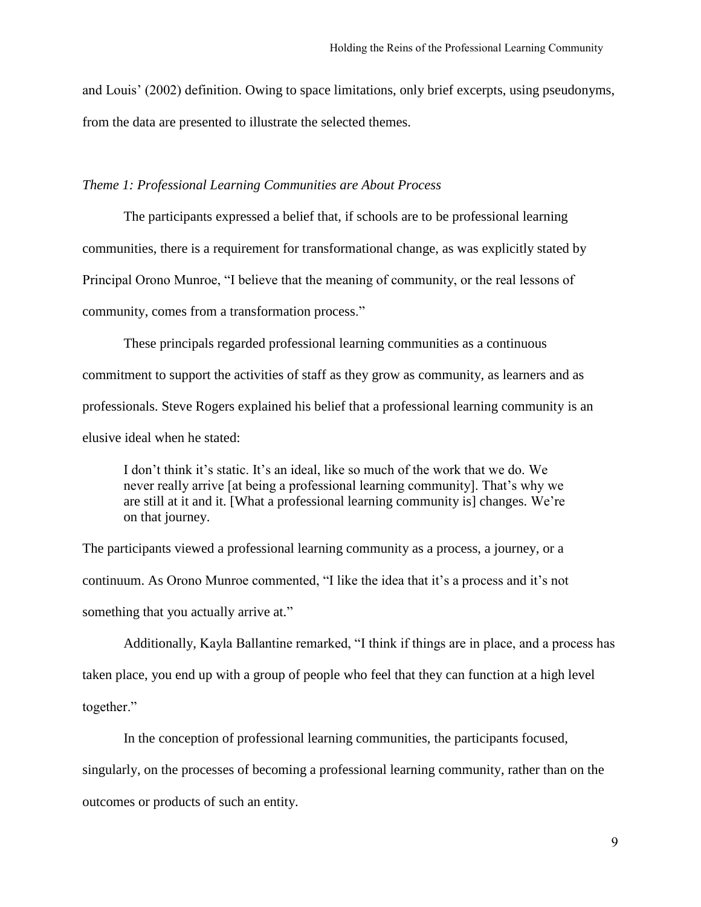and Louis' (2002) definition. Owing to space limitations, only brief excerpts, using pseudonyms, from the data are presented to illustrate the selected themes.

# *Theme 1: Professional Learning Communities are About Process*

The participants expressed a belief that, if schools are to be professional learning communities, there is a requirement for transformational change, as was explicitly stated by Principal Orono Munroe, "I believe that the meaning of community, or the real lessons of community, comes from a transformation process."

These principals regarded professional learning communities as a continuous commitment to support the activities of staff as they grow as community, as learners and as professionals. Steve Rogers explained his belief that a professional learning community is an elusive ideal when he stated:

I don't think it's static. It's an ideal, like so much of the work that we do. We never really arrive [at being a professional learning community]. That's why we are still at it and it. [What a professional learning community is] changes. We're on that journey.

The participants viewed a professional learning community as a process, a journey, or a continuum. As Orono Munroe commented, "I like the idea that it's a process and it's not something that you actually arrive at."

Additionally, Kayla Ballantine remarked, "I think if things are in place, and a process has taken place, you end up with a group of people who feel that they can function at a high level together."

In the conception of professional learning communities, the participants focused, singularly, on the processes of becoming a professional learning community, rather than on the outcomes or products of such an entity.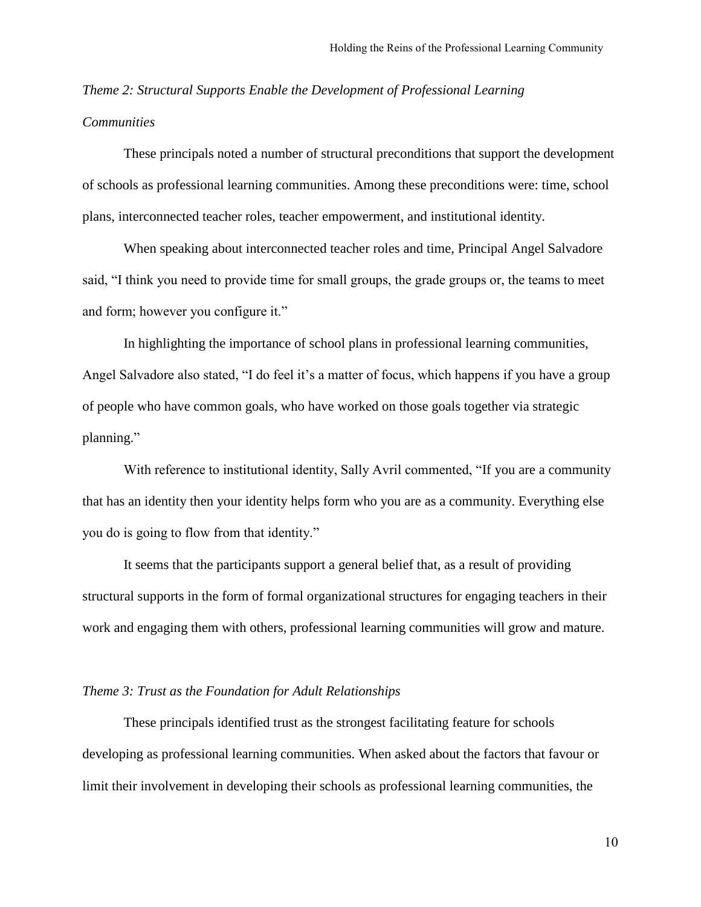# *Theme 2: Structural Supports Enable the Development of Professional Learning Communities*

These principals noted a number of structural preconditions that support the development of schools as professional learning communities. Among these preconditions were: time, school plans, interconnected teacher roles, teacher empowerment, and institutional identity.

When speaking about interconnected teacher roles and time, Principal Angel Salvadore said, "I think you need to provide time for small groups, the grade groups or, the teams to meet and form; however you configure it."

In highlighting the importance of school plans in professional learning communities, Angel Salvadore also stated, "I do feel it's a matter of focus, which happens if you have a group of people who have common goals, who have worked on those goals together via strategic planning."

With reference to institutional identity, Sally Avril commented, "If you are a community that has an identity then your identity helps form who you are as a community. Everything else you do is going to flow from that identity."

It seems that the participants support a general belief that, as a result of providing structural supports in the form of formal organizational structures for engaging teachers in their work and engaging them with others, professional learning communities will grow and mature.

# *Theme 3: Trust as the Foundation for Adult Relationships*

These principals identified trust as the strongest facilitating feature for schools developing as professional learning communities. When asked about the factors that favour or limit their involvement in developing their schools as professional learning communities, the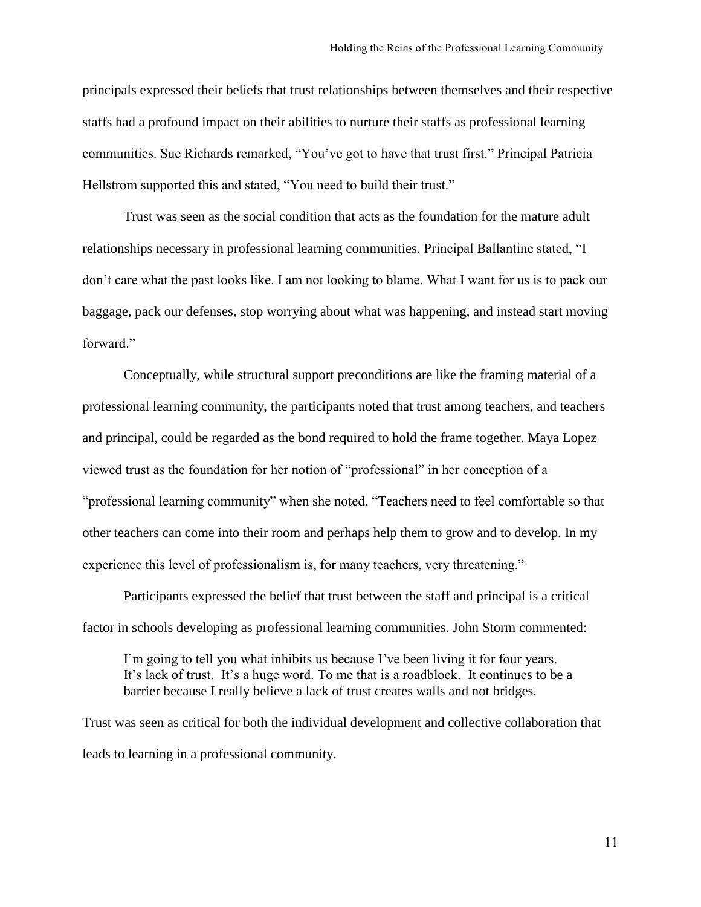principals expressed their beliefs that trust relationships between themselves and their respective staffs had a profound impact on their abilities to nurture their staffs as professional learning communities. Sue Richards remarked, "You've got to have that trust first." Principal Patricia Hellstrom supported this and stated, "You need to build their trust."

Trust was seen as the social condition that acts as the foundation for the mature adult relationships necessary in professional learning communities. Principal Ballantine stated, "I don't care what the past looks like. I am not looking to blame. What I want for us is to pack our baggage, pack our defenses, stop worrying about what was happening, and instead start moving forward."

Conceptually, while structural support preconditions are like the framing material of a professional learning community, the participants noted that trust among teachers, and teachers and principal, could be regarded as the bond required to hold the frame together. Maya Lopez viewed trust as the foundation for her notion of "professional" in her conception of a "professional learning community" when she noted, "Teachers need to feel comfortable so that other teachers can come into their room and perhaps help them to grow and to develop. In my experience this level of professionalism is, for many teachers, very threatening."

Participants expressed the belief that trust between the staff and principal is a critical factor in schools developing as professional learning communities. John Storm commented:

I'm going to tell you what inhibits us because I've been living it for four years. It's lack of trust. It's a huge word. To me that is a roadblock. It continues to be a barrier because I really believe a lack of trust creates walls and not bridges.

Trust was seen as critical for both the individual development and collective collaboration that leads to learning in a professional community.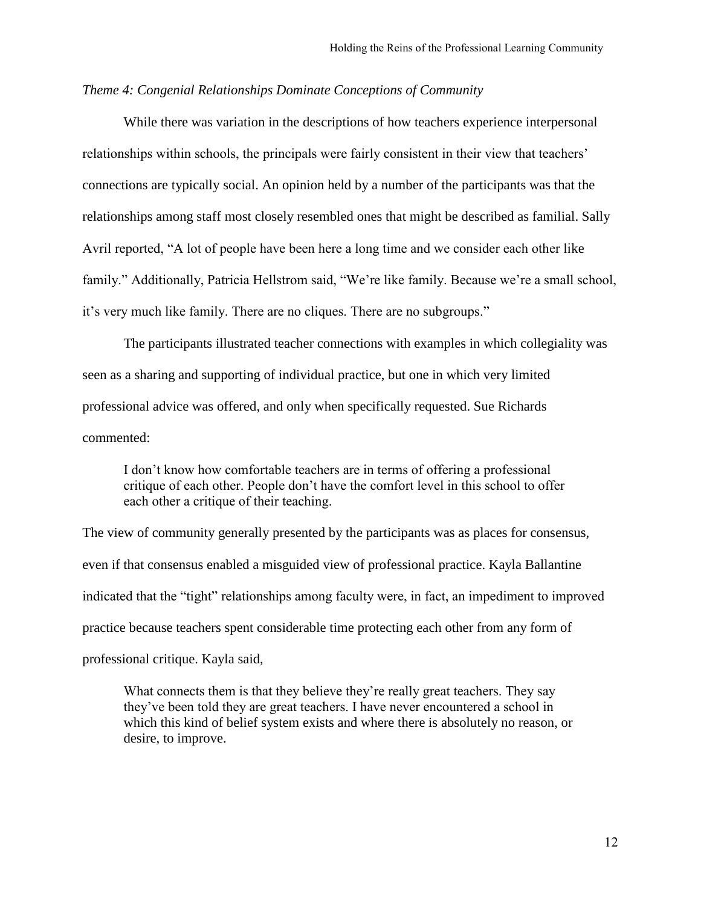# *Theme 4: Congenial Relationships Dominate Conceptions of Community*

While there was variation in the descriptions of how teachers experience interpersonal relationships within schools, the principals were fairly consistent in their view that teachers' connections are typically social. An opinion held by a number of the participants was that the relationships among staff most closely resembled ones that might be described as familial. Sally Avril reported, "A lot of people have been here a long time and we consider each other like family." Additionally, Patricia Hellstrom said, "We're like family. Because we're a small school, it's very much like family. There are no cliques. There are no subgroups."

The participants illustrated teacher connections with examples in which collegiality was seen as a sharing and supporting of individual practice, but one in which very limited professional advice was offered, and only when specifically requested. Sue Richards commented:

I don't know how comfortable teachers are in terms of offering a professional critique of each other. People don't have the comfort level in this school to offer each other a critique of their teaching.

The view of community generally presented by the participants was as places for consensus, even if that consensus enabled a misguided view of professional practice. Kayla Ballantine indicated that the "tight" relationships among faculty were, in fact, an impediment to improved practice because teachers spent considerable time protecting each other from any form of professional critique. Kayla said,

What connects them is that they believe they're really great teachers. They say they've been told they are great teachers. I have never encountered a school in which this kind of belief system exists and where there is absolutely no reason, or desire, to improve.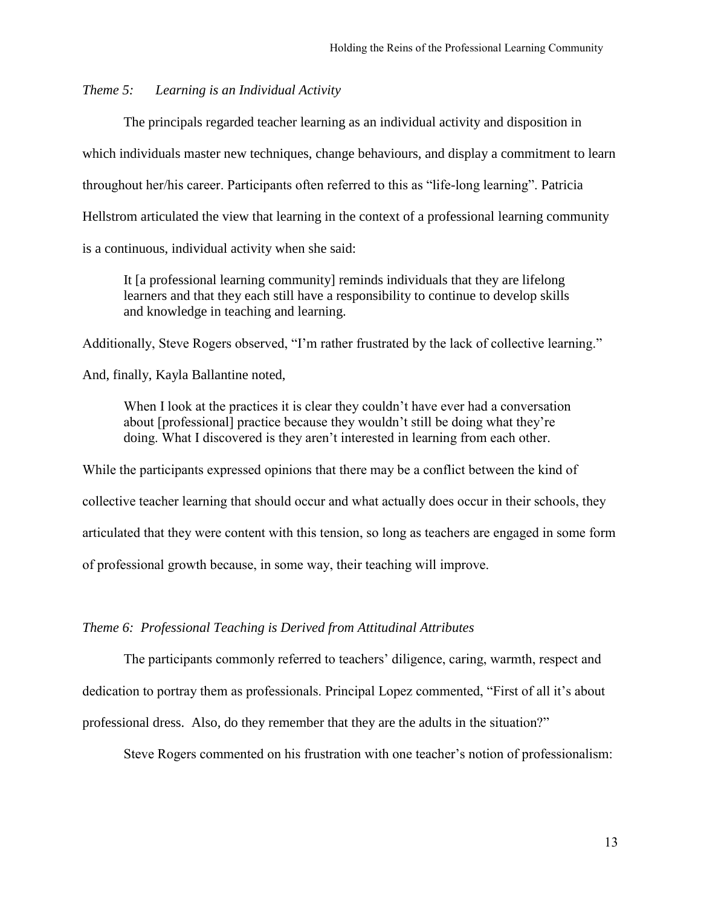# *Theme 5: Learning is an Individual Activity*

The principals regarded teacher learning as an individual activity and disposition in which individuals master new techniques, change behaviours, and display a commitment to learn throughout her/his career. Participants often referred to this as "life-long learning". Patricia Hellstrom articulated the view that learning in the context of a professional learning community is a continuous, individual activity when she said:

It [a professional learning community] reminds individuals that they are lifelong learners and that they each still have a responsibility to continue to develop skills and knowledge in teaching and learning.

Additionally, Steve Rogers observed, "I'm rather frustrated by the lack of collective learning."

And, finally, Kayla Ballantine noted,

When I look at the practices it is clear they couldn't have ever had a conversation about [professional] practice because they wouldn't still be doing what they're doing. What I discovered is they aren't interested in learning from each other.

While the participants expressed opinions that there may be a conflict between the kind of collective teacher learning that should occur and what actually does occur in their schools, they articulated that they were content with this tension, so long as teachers are engaged in some form of professional growth because, in some way, their teaching will improve.

#### *Theme 6: Professional Teaching is Derived from Attitudinal Attributes*

The participants commonly referred to teachers' diligence, caring, warmth, respect and dedication to portray them as professionals. Principal Lopez commented, "First of all it's about professional dress. Also, do they remember that they are the adults in the situation?"

Steve Rogers commented on his frustration with one teacher's notion of professionalism: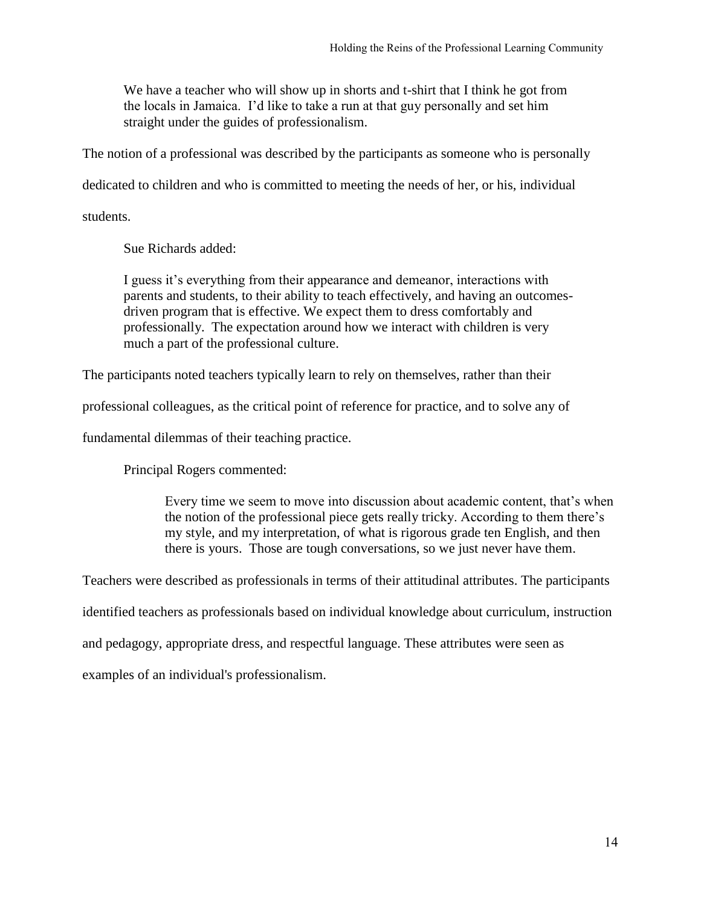We have a teacher who will show up in shorts and t-shirt that I think he got from the locals in Jamaica. I'd like to take a run at that guy personally and set him straight under the guides of professionalism.

The notion of a professional was described by the participants as someone who is personally

dedicated to children and who is committed to meeting the needs of her, or his, individual

students.

Sue Richards added:

I guess it's everything from their appearance and demeanor, interactions with parents and students, to their ability to teach effectively, and having an outcomesdriven program that is effective. We expect them to dress comfortably and professionally. The expectation around how we interact with children is very much a part of the professional culture.

The participants noted teachers typically learn to rely on themselves, rather than their

professional colleagues, as the critical point of reference for practice, and to solve any of

fundamental dilemmas of their teaching practice.

Principal Rogers commented:

Every time we seem to move into discussion about academic content, that's when the notion of the professional piece gets really tricky. According to them there's my style, and my interpretation, of what is rigorous grade ten English, and then there is yours. Those are tough conversations, so we just never have them.

Teachers were described as professionals in terms of their attitudinal attributes. The participants

identified teachers as professionals based on individual knowledge about curriculum, instruction

and pedagogy, appropriate dress, and respectful language. These attributes were seen as

examples of an individual's professionalism.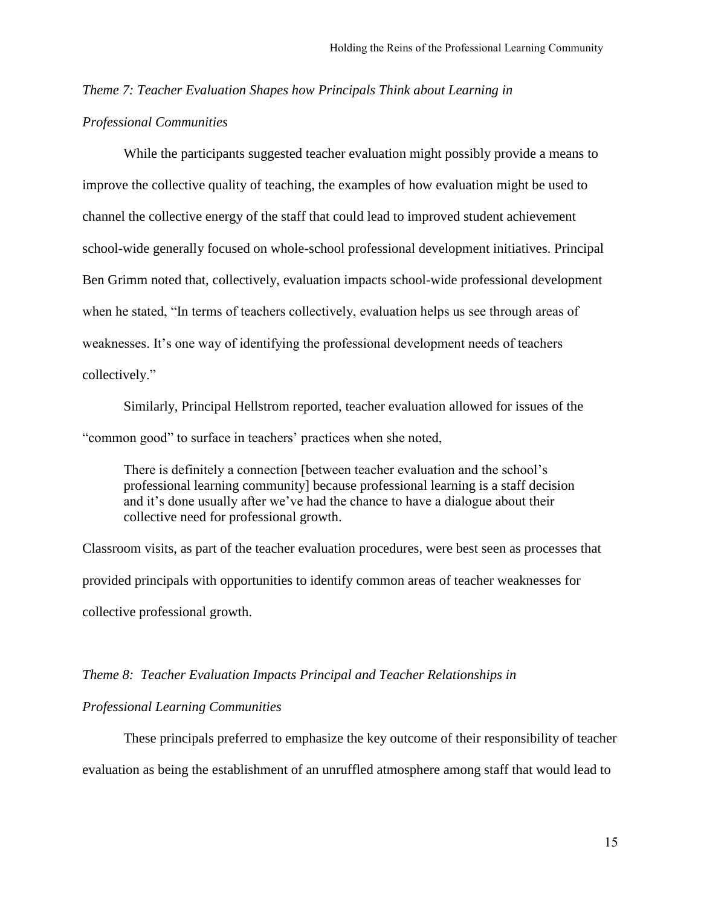# *Theme 7: Teacher Evaluation Shapes how Principals Think about Learning in*

# *Professional Communities*

While the participants suggested teacher evaluation might possibly provide a means to improve the collective quality of teaching, the examples of how evaluation might be used to channel the collective energy of the staff that could lead to improved student achievement school-wide generally focused on whole-school professional development initiatives. Principal Ben Grimm noted that, collectively, evaluation impacts school-wide professional development when he stated, "In terms of teachers collectively, evaluation helps us see through areas of weaknesses. It's one way of identifying the professional development needs of teachers collectively."

Similarly, Principal Hellstrom reported, teacher evaluation allowed for issues of the "common good" to surface in teachers' practices when she noted,

There is definitely a connection [between teacher evaluation and the school's professional learning community] because professional learning is a staff decision and it's done usually after we've had the chance to have a dialogue about their collective need for professional growth.

Classroom visits, as part of the teacher evaluation procedures, were best seen as processes that provided principals with opportunities to identify common areas of teacher weaknesses for collective professional growth.

#### *Theme 8: Teacher Evaluation Impacts Principal and Teacher Relationships in*

# *Professional Learning Communities*

These principals preferred to emphasize the key outcome of their responsibility of teacher evaluation as being the establishment of an unruffled atmosphere among staff that would lead to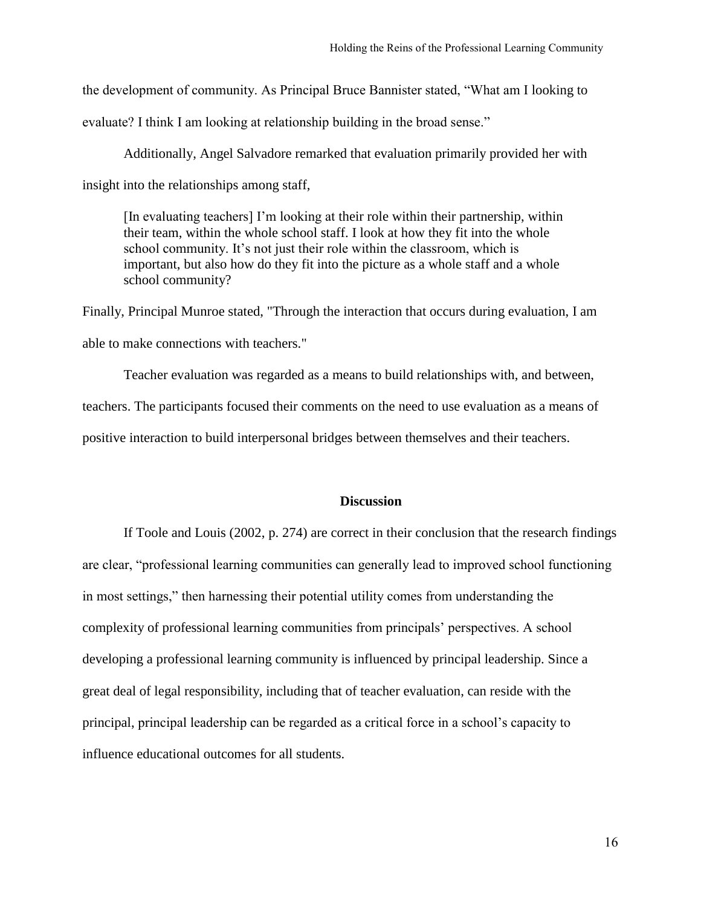the development of community. As Principal Bruce Bannister stated, "What am I looking to

evaluate? I think I am looking at relationship building in the broad sense."

Additionally, Angel Salvadore remarked that evaluation primarily provided her with insight into the relationships among staff,

[In evaluating teachers] I'm looking at their role within their partnership, within their team, within the whole school staff. I look at how they fit into the whole school community. It's not just their role within the classroom, which is important, but also how do they fit into the picture as a whole staff and a whole school community?

Finally, Principal Munroe stated, "Through the interaction that occurs during evaluation, I am able to make connections with teachers."

Teacher evaluation was regarded as a means to build relationships with, and between, teachers. The participants focused their comments on the need to use evaluation as a means of positive interaction to build interpersonal bridges between themselves and their teachers.

# **Discussion**

If Toole and Louis (2002, p. 274) are correct in their conclusion that the research findings are clear, "professional learning communities can generally lead to improved school functioning in most settings," then harnessing their potential utility comes from understanding the complexity of professional learning communities from principals' perspectives. A school developing a professional learning community is influenced by principal leadership. Since a great deal of legal responsibility, including that of teacher evaluation, can reside with the principal, principal leadership can be regarded as a critical force in a school's capacity to influence educational outcomes for all students.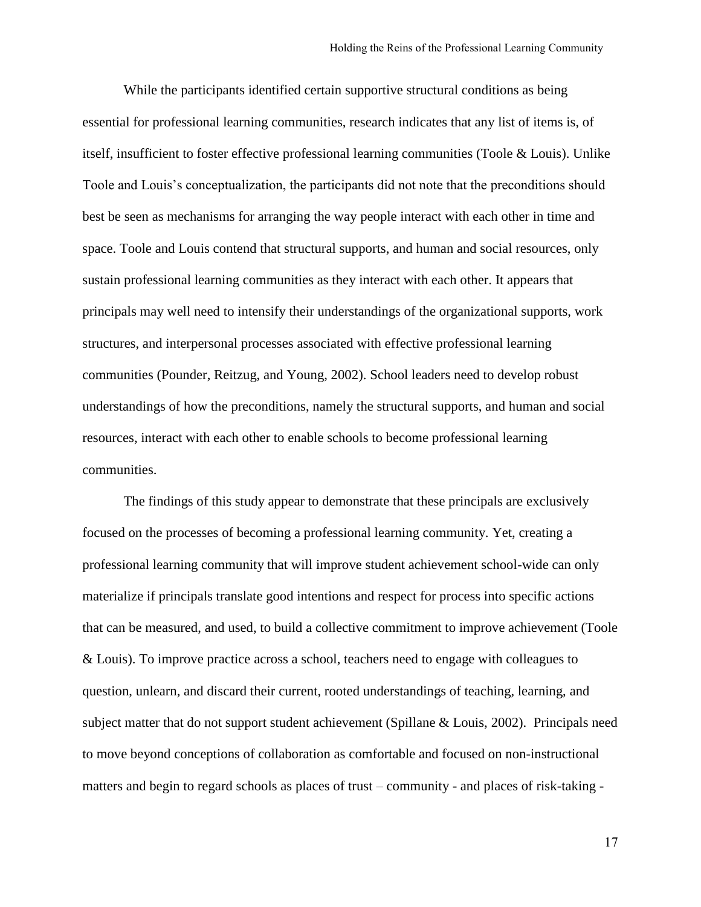While the participants identified certain supportive structural conditions as being essential for professional learning communities, research indicates that any list of items is, of itself, insufficient to foster effective professional learning communities (Toole & Louis). Unlike Toole and Louis's conceptualization, the participants did not note that the preconditions should best be seen as mechanisms for arranging the way people interact with each other in time and space. Toole and Louis contend that structural supports, and human and social resources, only sustain professional learning communities as they interact with each other. It appears that principals may well need to intensify their understandings of the organizational supports, work structures, and interpersonal processes associated with effective professional learning communities (Pounder, Reitzug, and Young, 2002). School leaders need to develop robust understandings of how the preconditions, namely the structural supports, and human and social resources, interact with each other to enable schools to become professional learning communities.

The findings of this study appear to demonstrate that these principals are exclusively focused on the processes of becoming a professional learning community. Yet, creating a professional learning community that will improve student achievement school-wide can only materialize if principals translate good intentions and respect for process into specific actions that can be measured, and used, to build a collective commitment to improve achievement (Toole & Louis). To improve practice across a school, teachers need to engage with colleagues to question, unlearn, and discard their current, rooted understandings of teaching, learning, and subject matter that do not support student achievement (Spillane & Louis, 2002). Principals need to move beyond conceptions of collaboration as comfortable and focused on non-instructional matters and begin to regard schools as places of trust – community - and places of risk-taking -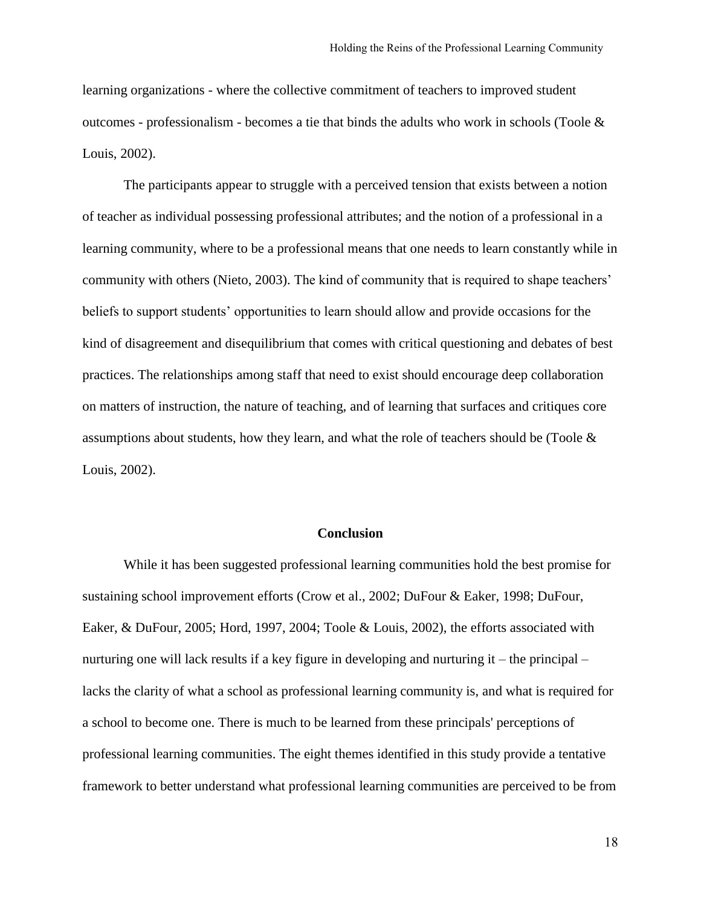learning organizations - where the collective commitment of teachers to improved student outcomes - professionalism - becomes a tie that binds the adults who work in schools (Toole  $\&$ Louis, 2002).

The participants appear to struggle with a perceived tension that exists between a notion of teacher as individual possessing professional attributes; and the notion of a professional in a learning community, where to be a professional means that one needs to learn constantly while in community with others (Nieto, 2003). The kind of community that is required to shape teachers' beliefs to support students' opportunities to learn should allow and provide occasions for the kind of disagreement and disequilibrium that comes with critical questioning and debates of best practices. The relationships among staff that need to exist should encourage deep collaboration on matters of instruction, the nature of teaching, and of learning that surfaces and critiques core assumptions about students, how they learn, and what the role of teachers should be (Toole  $\&$ Louis, 2002).

#### **Conclusion**

While it has been suggested professional learning communities hold the best promise for sustaining school improvement efforts (Crow et al., 2002; DuFour & Eaker, 1998; DuFour, Eaker, & DuFour, 2005; Hord, 1997, 2004; Toole & Louis, 2002), the efforts associated with nurturing one will lack results if a key figure in developing and nurturing it – the principal – lacks the clarity of what a school as professional learning community is, and what is required for a school to become one. There is much to be learned from these principals' perceptions of professional learning communities. The eight themes identified in this study provide a tentative framework to better understand what professional learning communities are perceived to be from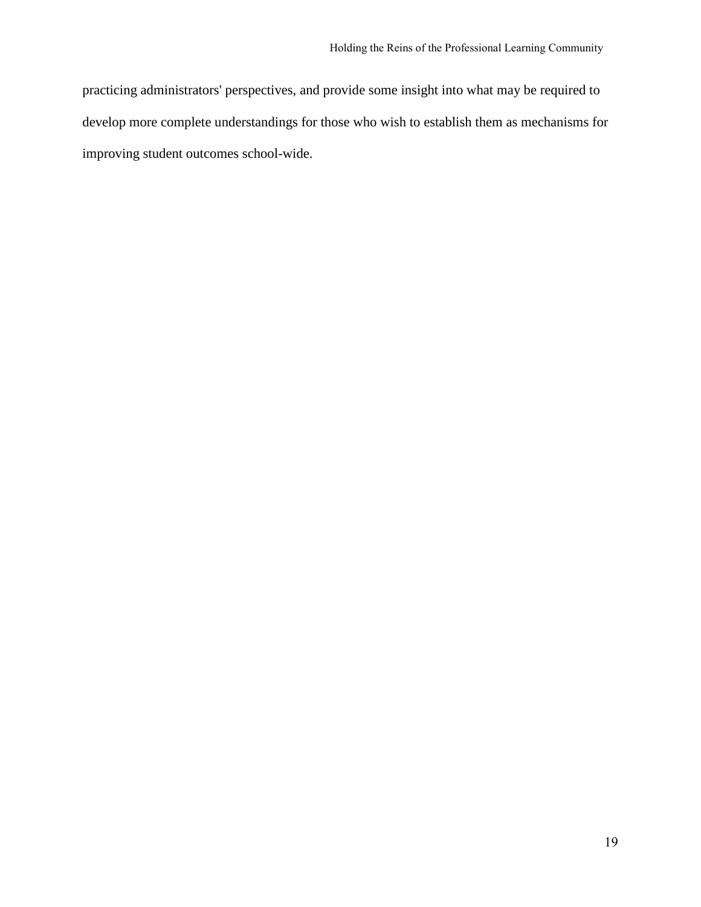practicing administrators' perspectives, and provide some insight into what may be required to develop more complete understandings for those who wish to establish them as mechanisms for improving student outcomes school-wide.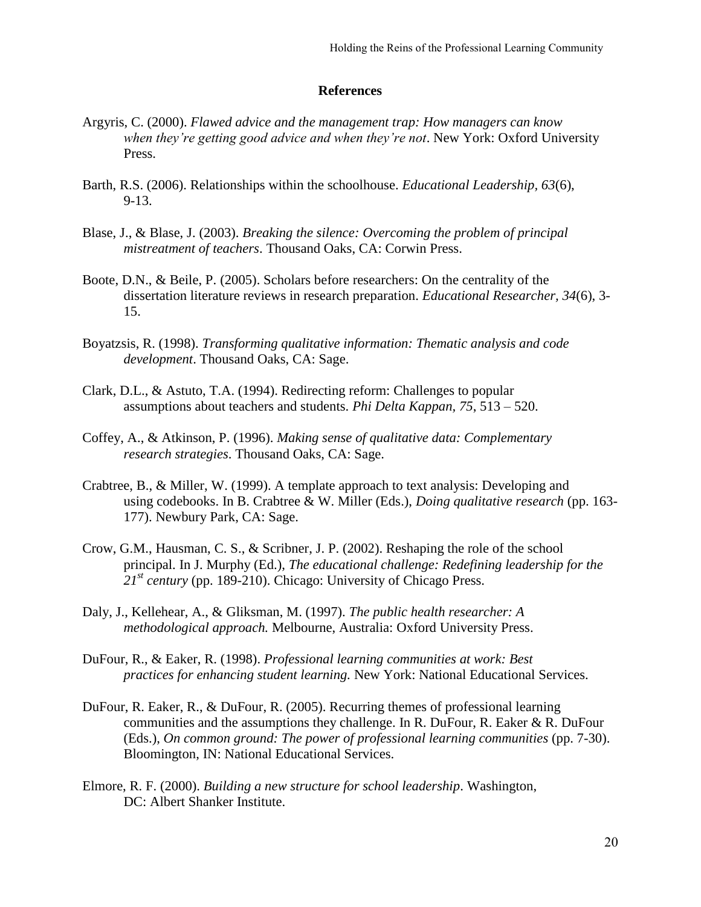#### **References**

- Argyris, C. (2000). *Flawed advice and the management trap: How managers can know when they're getting good advice and when they're not*. New York: Oxford University Press.
- Barth, R.S. (2006). Relationships within the schoolhouse. *Educational Leadership, 63*(6), 9-13.
- Blase, J., & Blase, J. (2003). *Breaking the silence: Overcoming the problem of principal mistreatment of teachers*. Thousand Oaks, CA: Corwin Press.
- Boote, D.N., & Beile, P. (2005). Scholars before researchers: On the centrality of the dissertation literature reviews in research preparation. *Educational Researcher, 34*(6), 3- 15.
- Boyatzsis, R. (1998). *Transforming qualitative information: Thematic analysis and code development*. Thousand Oaks, CA: Sage.
- Clark, D.L., & Astuto, T.A. (1994). Redirecting reform: Challenges to popular assumptions about teachers and students. *Phi Delta Kappan, 75*, 513 – 520.
- Coffey, A., & Atkinson, P. (1996). *Making sense of qualitative data: Complementary research strategies*. Thousand Oaks, CA: Sage.
- Crabtree, B., & Miller, W. (1999). A template approach to text analysis: Developing and using codebooks. In B. Crabtree & W. Miller (Eds.), *Doing qualitative research* (pp. 163- 177). Newbury Park, CA: Sage.
- Crow, G.M., Hausman, C. S., & Scribner, J. P. (2002). Reshaping the role of the school principal. In J. Murphy (Ed.), *The educational challenge: Redefining leadership for the 21st century* (pp. 189-210). Chicago: University of Chicago Press.
- Daly, J., Kellehear, A., & Gliksman, M. (1997). *The public health researcher: A methodological approach.* Melbourne, Australia: Oxford University Press.
- DuFour, R., & Eaker, R. (1998). *Professional learning communities at work: Best practices for enhancing student learning.* New York: National Educational Services.
- DuFour, R. Eaker, R., & DuFour, R. (2005). Recurring themes of professional learning communities and the assumptions they challenge. In R. DuFour, R. Eaker & R. DuFour (Eds.), *On common ground: The power of professional learning communities* (pp. 7-30). Bloomington, IN: National Educational Services.
- Elmore, R. F. (2000). *Building a new structure for school leadership*. Washington, DC: Albert Shanker Institute.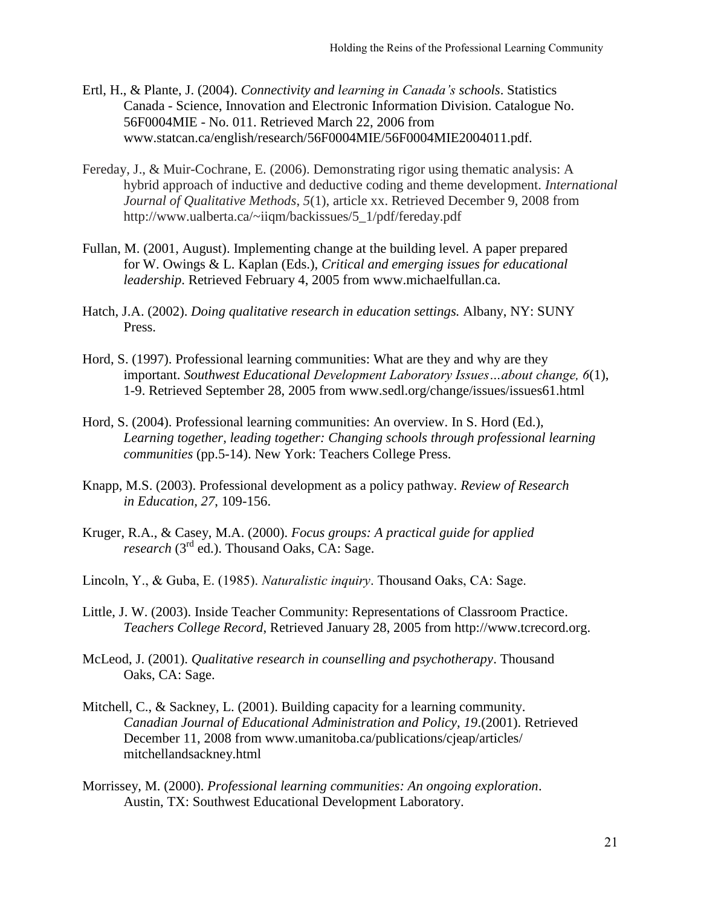- Ertl, H., & Plante, J. (2004). *Connectivity and learning in Canada's schools*. Statistics Canada - Science, Innovation and Electronic Information Division. Catalogue No. 56F0004MIE - No. 011. Retrieved March 22, 2006 from www.statcan.ca/english/research/56F0004MIE/56F0004MIE2004011.pdf.
- Fereday, J., & Muir-Cochrane, E. (2006). Demonstrating rigor using thematic analysis: A hybrid approach of inductive and deductive coding and theme development. *International Journal of Qualitative Methods*, *5*(1), article xx. Retrieved December 9, 2008 from http://www.ualberta.ca/~iiqm/backissues/5\_1/pdf/fereday.pdf
- Fullan, M. (2001, August). Implementing change at the building level. A paper prepared for W. Owings & L. Kaplan (Eds.), *Critical and emerging issues for educational leadership*. Retrieved February 4, 2005 from www.michaelfullan.ca.
- Hatch, J.A. (2002). *Doing qualitative research in education settings.* Albany, NY: SUNY Press.
- Hord, S. (1997). Professional learning communities: What are they and why are they important. *Southwest Educational Development Laboratory Issues…about change, 6*(1), 1-9. Retrieved September 28, 2005 from www.sedl.org/change/issues/issues61.html
- Hord, S. (2004). Professional learning communities: An overview. In S. Hord (Ed.), *Learning together, leading together: Changing schools through professional learning communities* (pp.5-14). New York: Teachers College Press.
- Knapp, M.S. (2003). Professional development as a policy pathway. *Review of Research in Education, 27*, 109-156.
- Kruger, R.A., & Casey, M.A. (2000). *Focus groups: A practical guide for applied research* (3<sup>rd</sup> ed.). Thousand Oaks, CA: Sage.
- Lincoln, Y., & Guba, E. (1985). *Naturalistic inquiry*. Thousand Oaks, CA: Sage.
- Little, J. W. (2003). Inside Teacher Community: Representations of Classroom Practice. *Teachers College Record*, Retrieved January 28, 2005 from http://www.tcrecord.org.
- McLeod, J. (2001). *Qualitative research in counselling and psychotherapy*. Thousand Oaks, CA: Sage.
- Mitchell, C., & Sackney, L. (2001). Building capacity for a learning community. *Canadian Journal of Educational Administration and Policy, 19*.(2001). Retrieved December 11, 2008 from www.umanitoba.ca/publications/cjeap/articles/ mitchellandsackney.html
- Morrissey, M. (2000). *Professional learning communities: An ongoing exploration*. Austin, TX: Southwest Educational Development Laboratory.